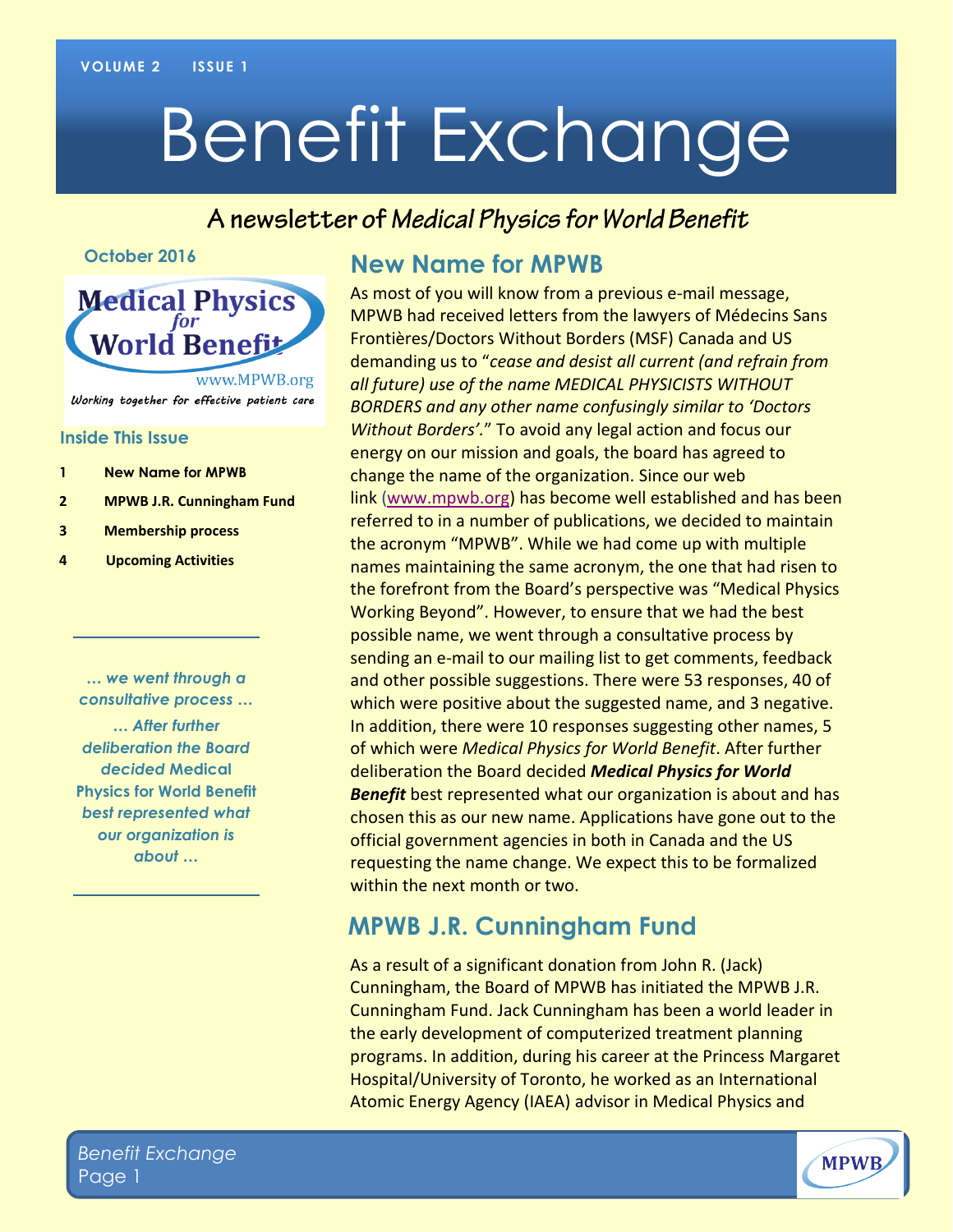# Benefit Exchange

### A newsletter of Medical Physics for World Benefit

#### **October 2016**



#### **Inside This Issue**

- **1 New Name for MPWB**
- **2 MPWB J.R. Cunningham Fund**
- **3 Membership process**
- **4 Upcoming Activities**

*… we went through a consultative process … … After further deliberation the Board decided* **Medical Physics for World Benefit** *best represented what our organization is about …*

#### **New Name for MPWB**

As most of you will know from a previous e-mail message, MPWB had received letters from the lawyers of Médecins Sans Frontières/Doctors Without Borders (MSF) Canada and US demanding us to "*cease and desist all current (and refrain from all future) use of the name MEDICAL PHYSICISTS WITHOUT BORDERS and any other name confusingly similar to 'Doctors Without Borders'.*" To avoid any legal action and focus our energy on our mission and goals, the board has agreed to change the name of the organization. Since our web link [\(www.mpwb.org\)](http://www.mpwb.org/) has become well established and has been referred to in a number of publications, we decided to maintain the acronym "MPWB". While we had come up with multiple names maintaining the same acronym, the one that had risen to the forefront from the Board's perspective was "Medical Physics Working Beyond". However, to ensure that we had the best possible name, we went through a consultative process by sending an e-mail to our mailing list to get comments, feedback and other possible suggestions. There were 53 responses, 40 of which were positive about the suggested name, and 3 negative. In addition, there were 10 responses suggesting other names, 5 of which were *Medical Physics for World Benefit*. After further deliberation the Board decided *Medical Physics for World Benefit* best represented what our organization is about and has chosen this as our new name. Applications have gone out to the official government agencies in both in Canada and the US requesting the name change. We expect this to be formalized within the next month or two.

### **MPWB J.R. Cunningham Fund**

As a result of a significant donation from John R. (Jack) Cunningham, the Board of MPWB has initiated the MPWB J.R. Cunningham Fund. Jack Cunningham has been a world leader in the early development of computerized treatment planning programs. In addition, during his career at the Princess Margaret Hospital/University of Toronto, he worked as an International Atomic Energy Agency (IAEA) advisor in Medical Physics and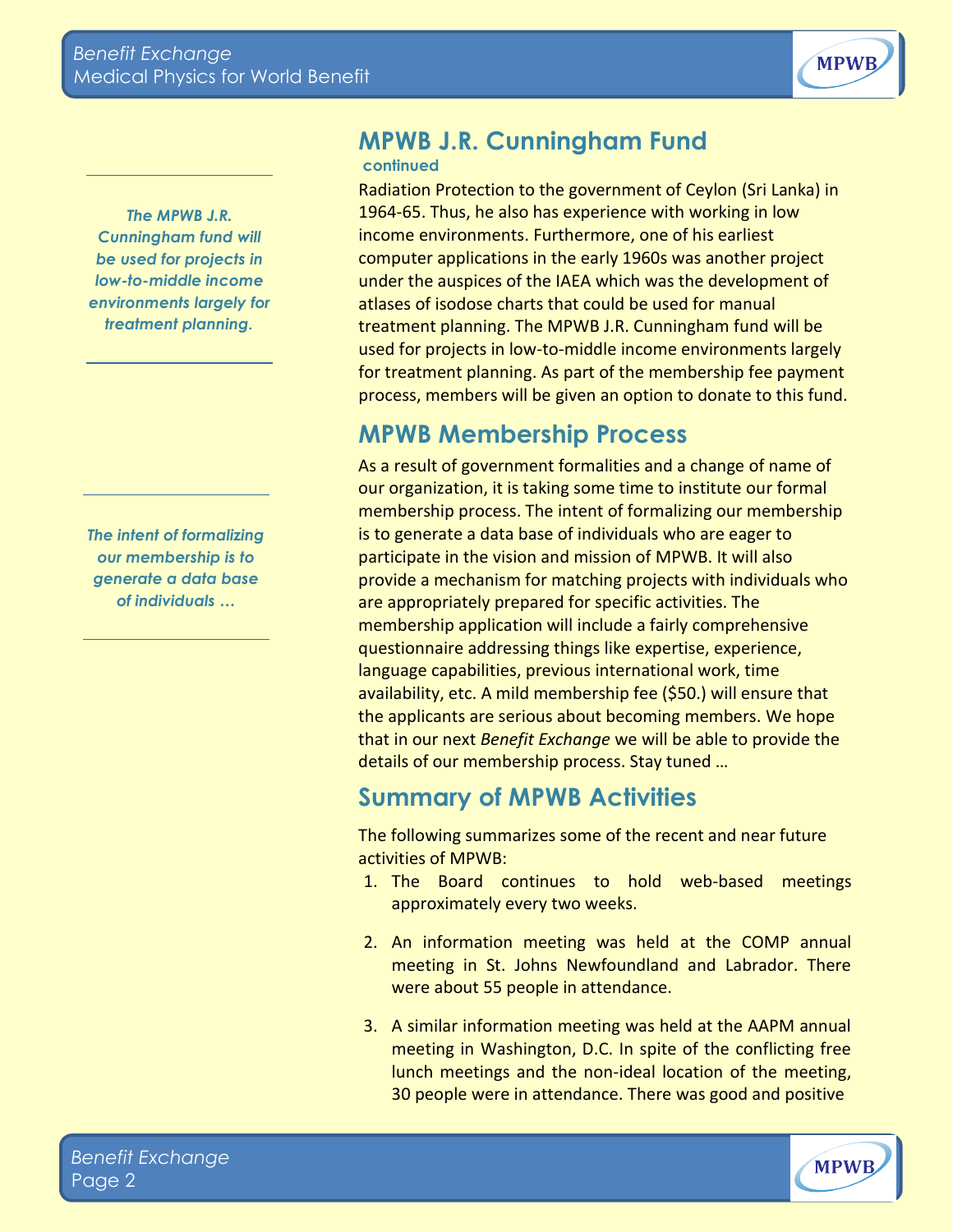

*The MPWB J.R. Cunningham fund will be used for projects in low-to-middle income environments largely for treatment planning.*

*The intent of formalizing our membership is to generate a data base of individuals …*

#### **MPWB J.R. Cunningham Fund continued**

Radiation Protection to the government of Ceylon (Sri Lanka) in 1964-65. Thus, he also has experience with working in low income environments. Furthermore, one of his earliest computer applications in the early 1960s was another project under the auspices of the IAEA which was the development of atlases of isodose charts that could be used for manual treatment planning. The MPWB J.R. Cunningham fund will be used for projects in low-to-middle income environments largely for treatment planning. As part of the membership fee payment process, members will be given an option to donate to this fund.

# **MPWB Membership Process**

As a result of government formalities and a change of name of our organization, it is taking some time to institute our formal membership process. The intent of formalizing our membership is to generate a data base of individuals who are eager to participate in the vision and mission of MPWB. It will also provide a mechanism for matching projects with individuals who are appropriately prepared for specific activities. The membership application will include a fairly comprehensive questionnaire addressing things like expertise, experience, language capabilities, previous international work, time availability, etc. A mild membership fee (\$50.) will ensure that the applicants are serious about becoming members. We hope that in our next *Benefit Exchange* we will be able to provide the details of our membership process. Stay tuned …

## **Summary of MPWB Activities**

The following summarizes some of the recent and near future activities of MPWB:

- 1. The Board continues to hold web-based meetings approximately every two weeks.
- 2. An information meeting was held at the COMP annual meeting in St. Johns Newfoundland and Labrador. There were about 55 people in attendance.
- 3. A similar information meeting was held at the AAPM annual meeting in Washington, D.C. In spite of the conflicting free lunch meetings and the non-ideal location of the meeting, 30 people were in attendance. There was good and positive

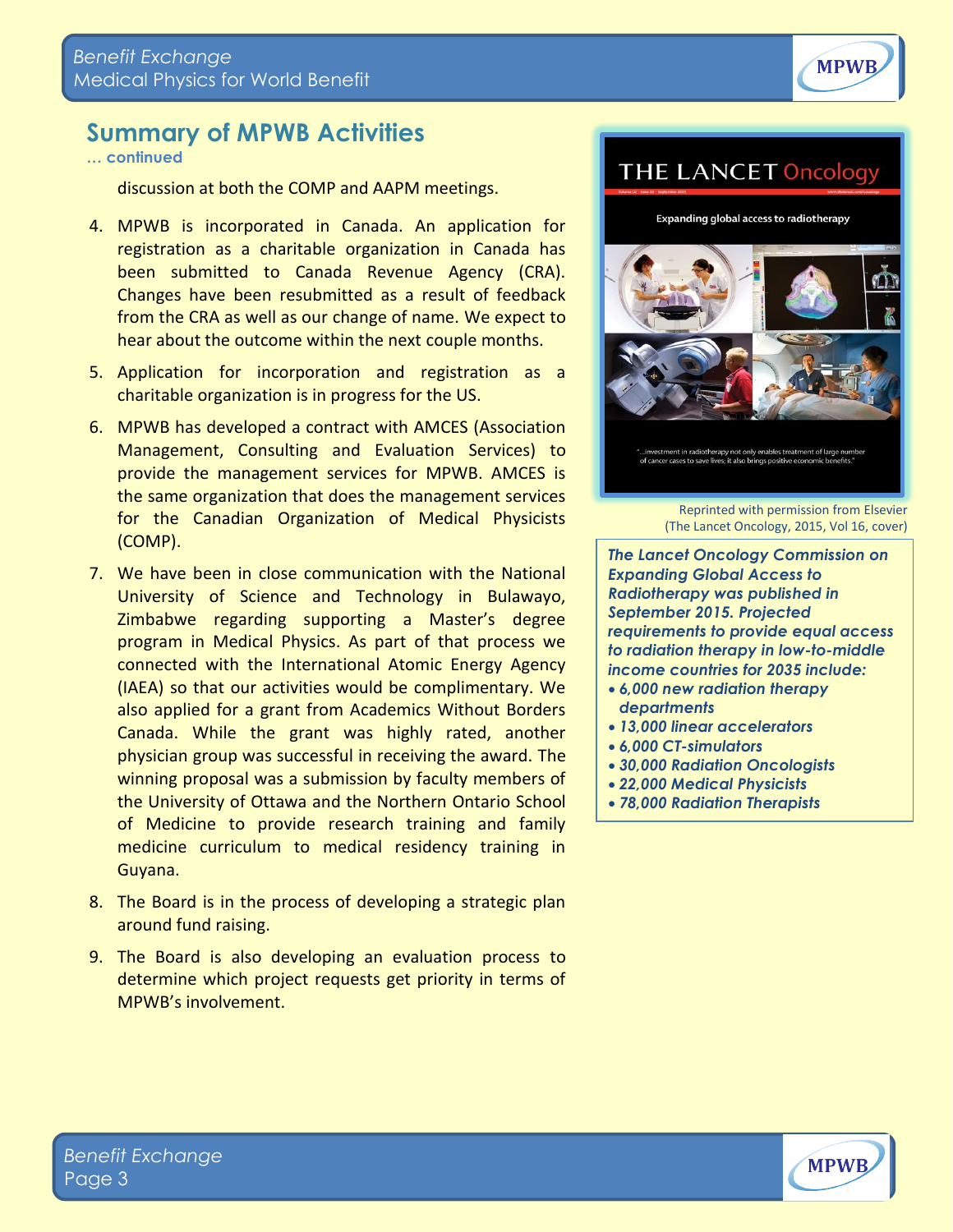

### **Summary of MPWB Activities**

**… continued**

discussion at both the COMP and AAPM meetings.

- 4. MPWB is incorporated in Canada. An application for registration as a charitable organization in Canada has been submitted to Canada Revenue Agency (CRA). Changes have been resubmitted as a result of feedback from the CRA as well as our change of name. We expect to hear about the outcome within the next couple months.
- 5. Application for incorporation and registration as a charitable organization is in progress for the US.
- 6. MPWB has developed a contract with AMCES (Association Management, Consulting and Evaluation Services) to provide the management services for MPWB. AMCES is the same organization that does the management services for the Canadian Organization of Medical Physicists (COMP).
- 7. We have been in close communication with the National University of Science and Technology in Bulawayo, Zimbabwe regarding supporting a Master's degree program in Medical Physics. As part of that process we connected with the International Atomic Energy Agency (IAEA) so that our activities would be complimentary. We also applied for a grant from Academics Without Borders Canada. While the grant was highly rated, another physician group was successful in receiving the award. The winning proposal was a submission by faculty members of the University of Ottawa and the Northern Ontario School of Medicine to provide research training and family medicine curriculum to medical residency training in Guyana.
- 8. The Board is in the process of developing a strategic plan around fund raising.
- 9. The Board is also developing an evaluation process to determine which project requests get priority in terms of MPWB's involvement.



Reprinted with permission from Elsevier (The Lancet Oncology, 2015, Vol 16, cover)

*The Lancet Oncology Commission on Expanding Global Access to Radiotherapy was published in September 2015. Projected requirements to provide equal access to radiation therapy in low-to-middle income countries for 2035 include: 6,000 new radiation therapy* 

- *departments*
- *13,000 linear accelerators*
- *6,000 CT-simulators*
- *30,000 Radiation Oncologists*
- *22,000 Medical Physicists*
- *78,000 Radiation Therapists*